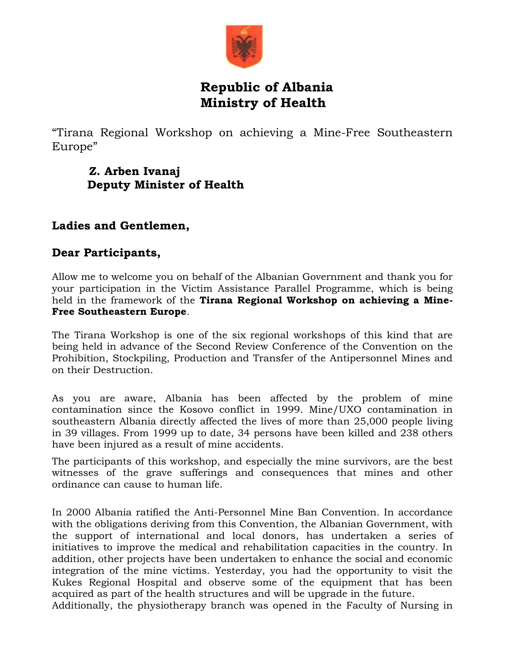

## **Republic of Albania Ministry of Health**

"Tirana Regional Workshop on achieving a Mine-Free Southeastern Europe"

## **Z. Arben Ivanaj Deputy Minister of Health**

## **Ladies and Gentlemen,**

## **Dear Participants,**

Allow me to welcome you on behalf of the Albanian Government and thank you for your participation in the Victim Assistance Parallel Programme, which is being held in the framework of the **Tirana Regional Workshop on achieving a Mine-Free Southeastern Europe**.

The Tirana Workshop is one of the six regional workshops of this kind that are being held in advance of the Second Review Conference of the Convention on the Prohibition, Stockpiling, Production and Transfer of the Antipersonnel Mines and on their Destruction.

As you are aware, Albania has been affected by the problem of mine contamination since the Kosovo conflict in 1999. Mine/UXO contamination in southeastern Albania directly affected the lives of more than 25,000 people living in 39 villages. From 1999 up to date, 34 persons have been killed and 238 others have been injured as a result of mine accidents.

The participants of this workshop, and especially the mine survivors, are the best witnesses of the grave sufferings and consequences that mines and other ordinance can cause to human life.

In 2000 Albania ratified the Anti-Personnel Mine Ban Convention. In accordance with the obligations deriving from this Convention, the Albanian Government, with the support of international and local donors, has undertaken a series of initiatives to improve the medical and rehabilitation capacities in the country. In addition, other projects have been undertaken to enhance the social and economic integration of the mine victims. Yesterday, you had the opportunity to visit the Kukes Regional Hospital and observe some of the equipment that has been acquired as part of the health structures and will be upgrade in the future.

Additionally, the physiotherapy branch was opened in the Faculty of Nursing in